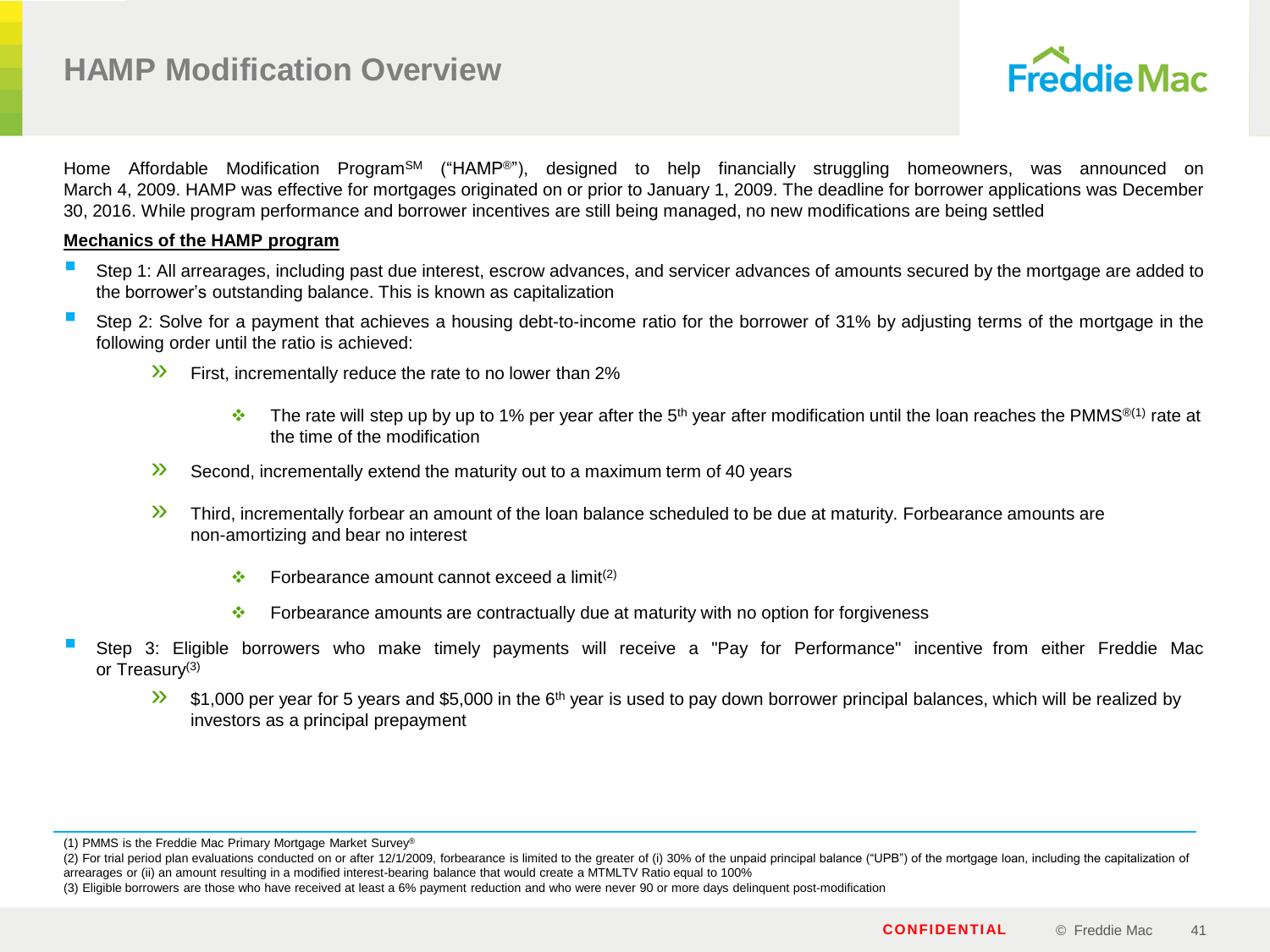

Home Affordable Modification Program<sup>SM</sup> ("HAMP<sup>®</sup>"), designed to help financially struggling homeowners, was announced on March 4, 2009. HAMP was effective for mortgages originated on or prior to January 1, 2009. The deadline for borrower applications was December 30, 2016. While program performance and borrower incentives are still being managed, no new modifications are being settled

## **Mechanics of the HAMP program**

- Step 1: All arrearages, including past due interest, escrow advances, and servicer advances of amounts secured by the mortgage are added to the borrower's outstanding balance. This is known as capitalization
- Step 2: Solve for <sup>a</sup> payment that achieves <sup>a</sup> housing debt-to-income ratio for the borrower of 31% by adjusting terms of the mortgage in the following order until the ratio is achieved:
	- **X** First, incrementally reduce the rate to no lower than 2%
		- The rate will step up by up to 1% per year after the 5<sup>th</sup> year after modification until the loan reaches the PMMS<sup>®(1)</sup> rate at the time of the modification
	- » Second, incrementally extend the maturity out to a maximum term of 40 years
	- **X** Third, incrementally forbear an amount of the loan balance scheduled to be due at maturity. Forbearance amounts are non-amortizing and bear no interest
		- $\cdot \cdot$  Forbearance amount cannot exceed a limit<sup>(2)</sup>
		- Forbearance amounts are contractually due at maturity with no option for forgiveness
- Step 3: Eligible borrowers who make timely payments will receive <sup>a</sup> "Pay for Performance" incentive from either Freddie Mac or Treasury(3)
	- $\frac{1}{2}$  \$1,000 per year for 5 years and \$5,000 in the 6<sup>th</sup> year is used to pay down borrower principal balances, which will be realized by investors as a principal prepayment

(1) PMMS is the Freddie Mac Primary Mortgage Market Survey®

(2) For trial period plan evaluations conducted on or after 12/1/2009, forbearance is limited to the greater of (i) 30% of the unpaid principal balance ("UPB") of the mortgage loan, including the capitalization of arrearages or (ii) an amount resulting in a modified interest-bearing balance that would create a MTMLTV Ratio equal to 100%

(3) Eligible borrowers are those who have received at least a 6% payment reduction and who were never 90 or more days delinquent post-modification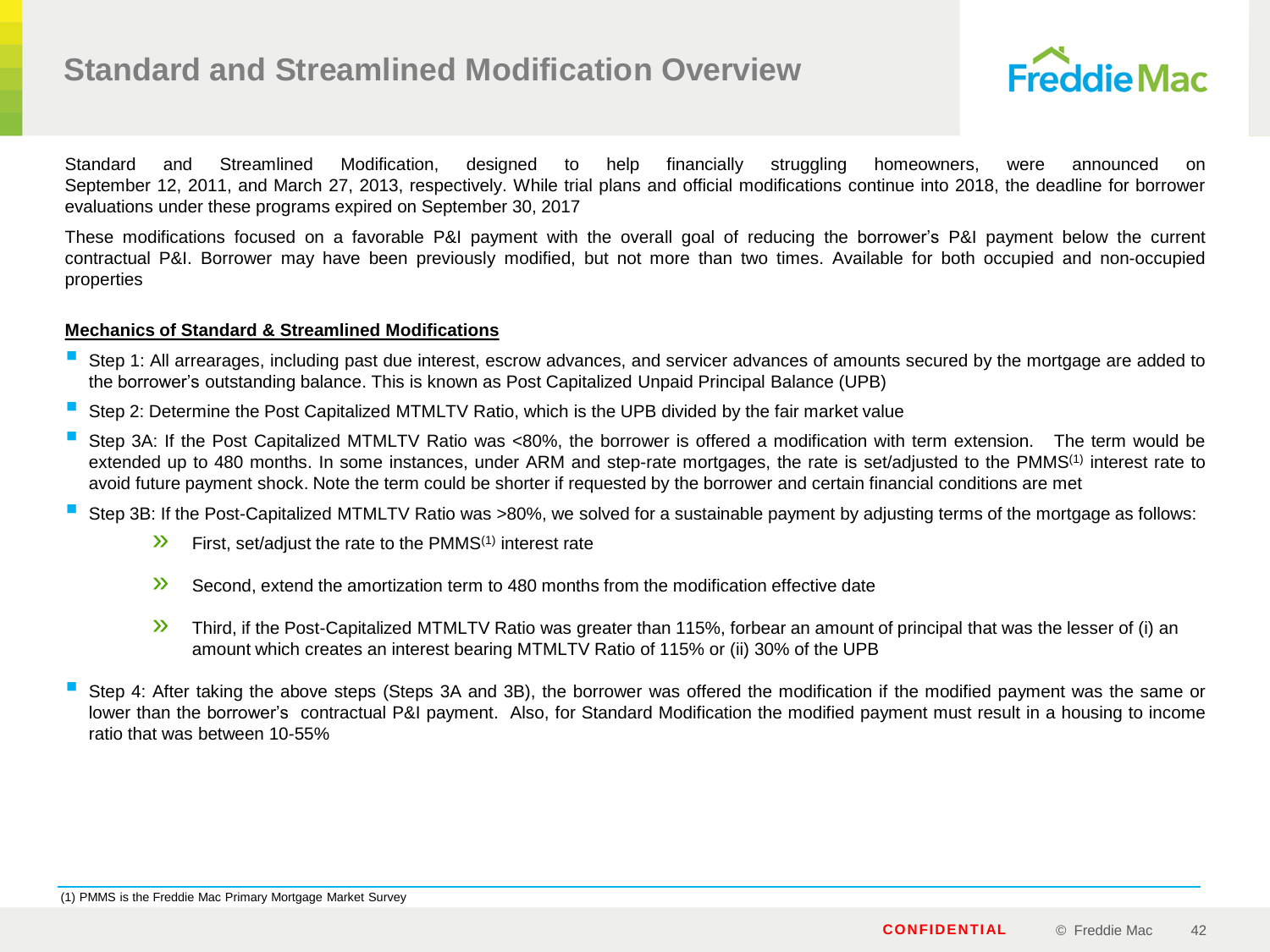

Standard and Streamlined Modification, designed to help financially struggling homeowners, were announced on September 12, 2011, and March 27, 2013, respectively. While trial plans and official modifications continue into 2018, the deadline for borrower evaluations under these programs expired on September 30, 2017

These modifications focused on a favorable P&I payment with the overall goal of reducing the borrower's P&I payment below the current contractual P&I. Borrower may have been previously modified, but not more than two times. Available for both occupied and non-occupied properties

## **Mechanics of Standard & Streamlined Modifications**

- Step 1: All arrearages, including past due interest, escrow advances, and servicer advances of amounts secured by the mortgage are added to the borrower's outstanding balance. This is known as Post Capitalized Unpaid Principal Balance (UPB)
- Step 2: Determine the Post Capitalized MTMLTV Ratio, which is the UPB divided by the fair market value
- Step 3A: If the Post Capitalized MTMLTV Ratio was <80%, the borrower is offered a modification with term extension. The term would be extended up to 480 months. In some instances, under ARM and step-rate mortgages, the rate is set/adjusted to the PMMS<sup>(1)</sup> interest rate to avoid future payment shock. Note the term could be shorter if requested by the borrower and certain financial conditions are met
- Step 3B: If the Post-Capitalized MTMLTV Ratio was >80%, we solved for <sup>a</sup> sustainable payment by adjusting terms of the mortgage as follows:
	- $\mathcal{V}$  First, set/adjust the rate to the PMMS<sup>(1)</sup> interest rate
	- $\mathcal{V}$  Second, extend the amortization term to 480 months from the modification effective date
	- **>>** Third, if the Post-Capitalized MTMLTV Ratio was greater than 115%, forbear an amount of principal that was the lesser of (i) an amount which creates an interest bearing MTMLTV Ratio of 115% or (ii) 30% of the UPB
- Step 4: After taking the above steps (Steps 3A and 3B), the borrower was offered the modification if the modified payment was the same or lower than the borrower's contractual P&I payment. Also, for Standard Modification the modified payment must result in a housing to income ratio that was between 10-55%